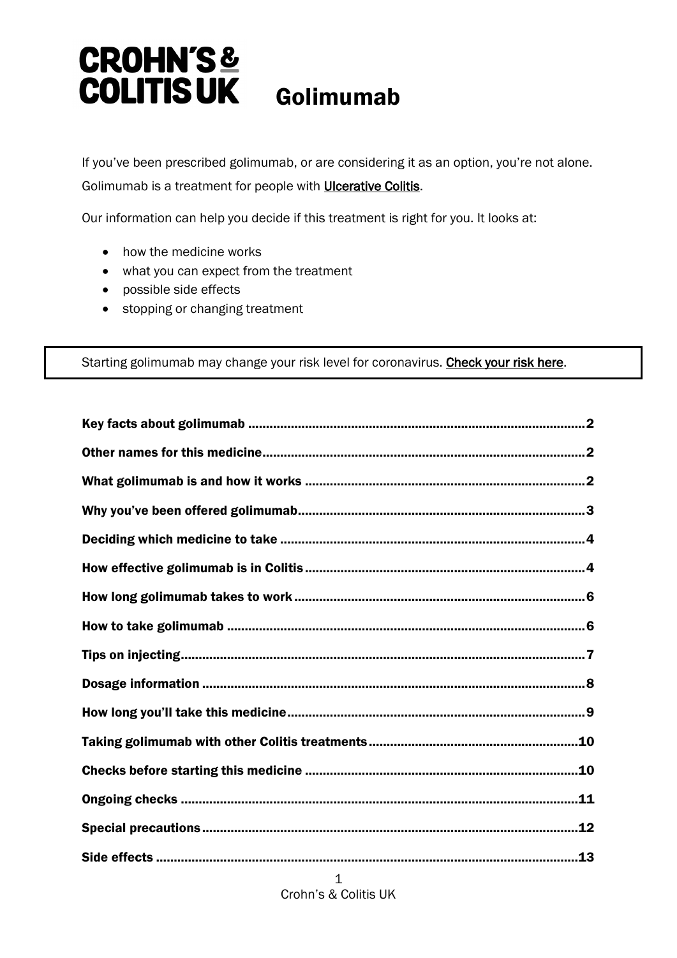# **CROHN'S& COLITIS UK** Golimumab

If you've been prescribed golimumab, or are considering it as an option, you're not alone. Golimumab is a treatment for people with **Ulcerative Colitis**.

Our information can help you decide if this treatment is right for you. It looks at:

- how the medicine works
- what you can expect from the treatment
- possible side effects
- stopping or changing treatment

Starting golimumab may change your risk level for coronavirus. [Check your risk here.](https://www.crohnsandcolitis.org.uk/news/advice-for-people-with-crohns-and-colitis-self-isolation-social-distancing#what)

1 Crohn's & Colitis UK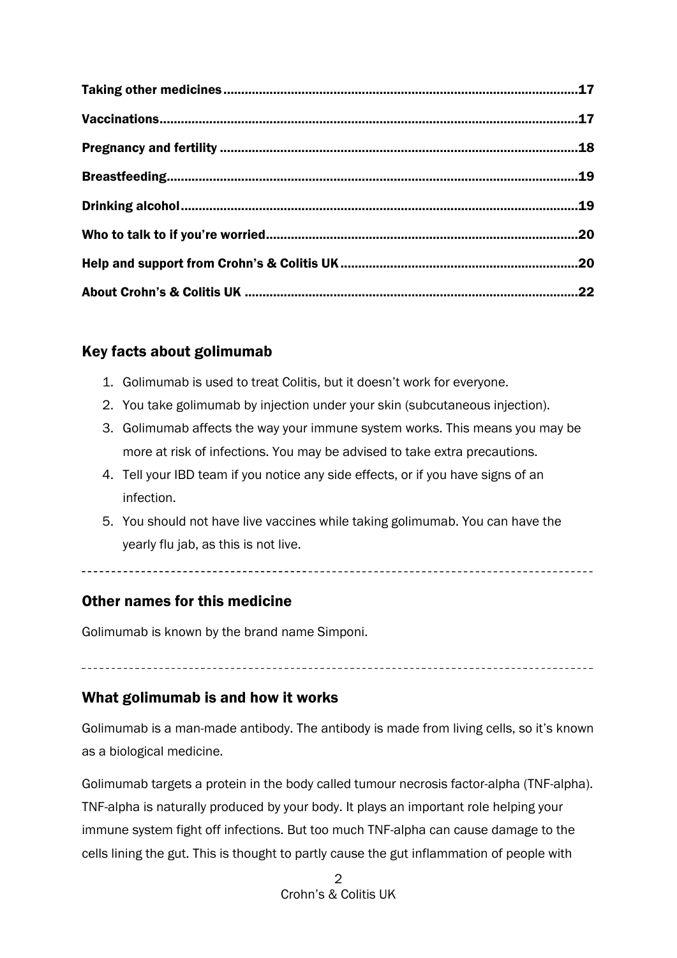# <span id="page-1-0"></span>Key facts about golimumab

- 1. Golimumab is used to treat Colitis, but it doesn't work for everyone.
- 2. You take golimumab by injection under your skin (subcutaneous injection).
- 3. Golimumab affects the way your immune system works. This means you may be more at risk of infections. You may be advised to take extra precautions.
- 4. Tell your IBD team if you notice any side effects, or if you have signs of an infection.
- 5. You should not have live vaccines while taking golimumab. You can have the yearly flu jab, as this is not live.

# <span id="page-1-1"></span>Other names for this medicine

Golimumab is known by the brand name Simponi.

# <span id="page-1-2"></span>What golimumab is and how it works

Golimumab is a man-made antibody. The antibody is made from living cells, so it's known as a biological medicine.

Golimumab targets a protein in the body called tumour necrosis factor-alpha (TNF-alpha). TNF-alpha is naturally produced by your body. It plays an important role helping your immune system fight off infections. But too much TNF-alpha can cause damage to the cells lining the gut. This is thought to partly cause the gut inflammation of people with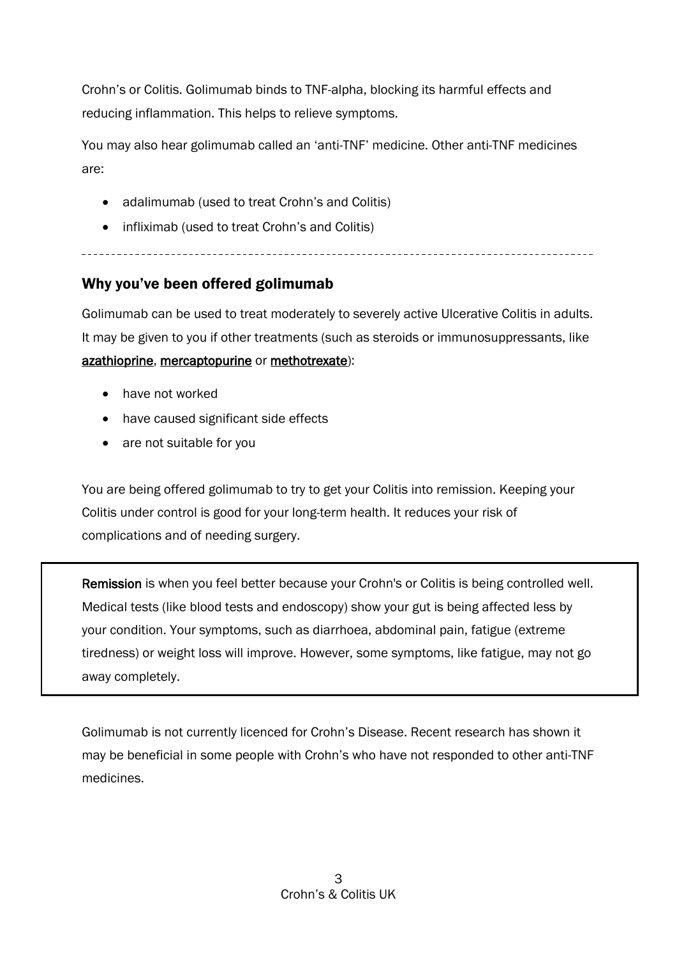Crohn's or Colitis. Golimumab binds to TNF-alpha, blocking its harmful effects and reducing inflammation. This helps to relieve symptoms.

You may also hear golimumab called an 'anti-TNF' medicine. Other anti-TNF medicines are:

- adalimumab (used to treat Crohn's and Colitis)
- infliximab (used to treat Crohn's and Colitis)

# <span id="page-2-0"></span>Why you've been offered golimumab

Golimumab can be used to treat moderately to severely active Ulcerative Colitis in adults. It may be given to you if other treatments (such as steroids or immunosuppressants, like [azathioprine, mercaptopurine](https://www.crohnsandcolitis.org.uk/about-crohns-and-colitis/publications/azathioprine-mercaptopurine) or [methotrexate\)](https://www.crohnsandcolitis.org.uk/about-crohns-and-colitis/publications/methotrexate):

- have not worked
- have caused significant side effects
- are not suitable for you

You are being offered golimumab to try to get your Colitis into remission. Keeping your Colitis under control is good for your long-term health. It reduces your risk of complications and of needing surgery.

٦ Remission is when you feel better because your Crohn's or Colitis is being controlled well. Medical tests (like blood tests and endoscopy) show your gut is being affected less by your condition. Your symptoms, such as diarrhoea, abdominal pain, fatigue (extreme tiredness) or weight loss will improve. However, some symptoms, like fatigue, may not go away completely.

Golimumab is not currently licenced for Crohn's Disease. Recent research has shown it may be beneficial in some people with Crohn's who have not responded to other anti-TNF medicines.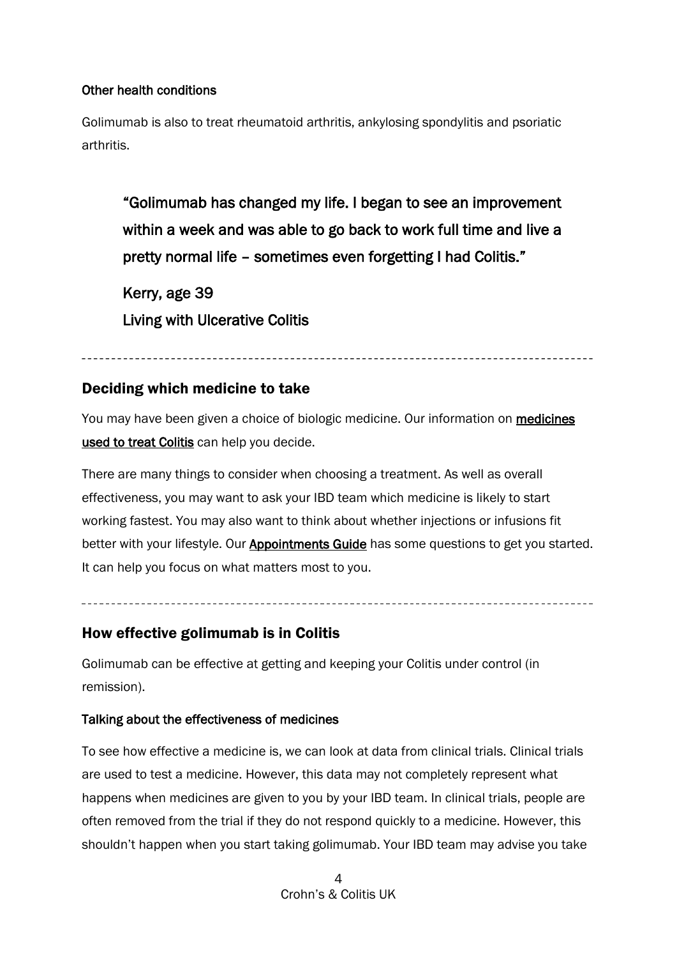#### Other health conditions

Golimumab is also to treat rheumatoid arthritis, ankylosing spondylitis and psoriatic arthritis.

"Golimumab has changed my life. I began to see an improvement within a week and was able to go back to work full time and live a pretty normal life – sometimes even forgetting I had Colitis."

Kerry, age 39 Living with Ulcerative Colitis

# <span id="page-3-0"></span>Deciding which medicine to take

You may have been given a choice of biologic medicine. Our information on medicines [used to treat Colitis](https://www.crohnsandcolitis.org.uk/about-crohns-and-colitis/treatments) can help you decide.

There are many things to consider when choosing a treatment. As well as overall effectiveness, you may want to ask your IBD team which medicine is likely to start working fastest. You may also want to think about whether injections or infusions fit better with your lifestyle. Our **Appointments Guide** has some questions to get you started. It can help you focus on what matters most to you.

# <span id="page-3-1"></span>How effective golimumab is in Colitis

Golimumab can be effective at getting and keeping your Colitis under control (in remission).

# Talking about the effectiveness of medicines

To see how effective a medicine is, we can look at data from clinical trials. Clinical trials are used to test a medicine. However, this data may not completely represent what happens when medicines are given to you by your IBD team. In clinical trials, people are often removed from the trial if they do not respond quickly to a medicine. However, this shouldn't happen when you start taking golimumab. Your IBD team may advise you take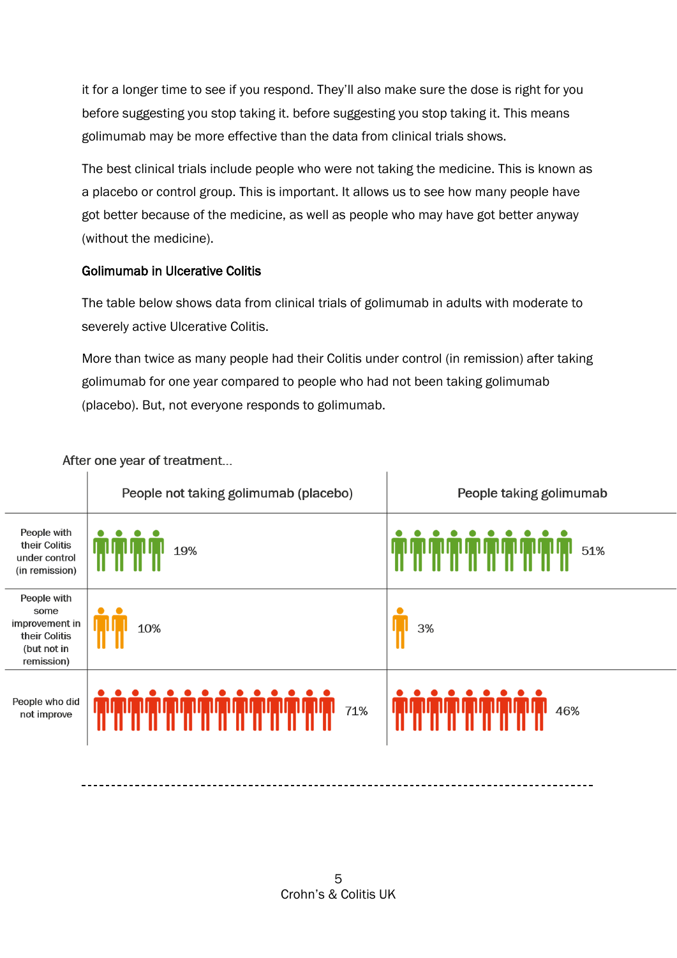it for a longer time to see if you respond. They'll also make sure the dose is right for you before suggesting you stop taking it. before suggesting you stop taking it. This means golimumab may be more effective than the data from clinical trials shows.

The best clinical trials include people who were not taking the medicine. This is known as a placebo or control group. This is important. It allows us to see how many people have got better because of the medicine, as well as people who may have got better anyway (without the medicine).

# Golimumab in Ulcerative Colitis

The table below shows data from clinical trials of golimumab in adults with moderate to severely active Ulcerative Colitis.

More than twice as many people had their Colitis under control (in remission) after taking golimumab for one year compared to people who had not been taking golimumab (placebo). But, not everyone responds to golimumab.

|                                                                                     | People not taking golimumab (placebo) | People taking golimumab |
|-------------------------------------------------------------------------------------|---------------------------------------|-------------------------|
| People with<br>their Colitis<br>under control<br>(in remission)                     | 19%                                   | 51%                     |
| People with<br>some<br>improvement in<br>their Colitis<br>(but not in<br>remission) | 10%                                   | 3%                      |
| People who did<br>not improve                                                       | 71%                                   | 46%                     |

After one year of treatment...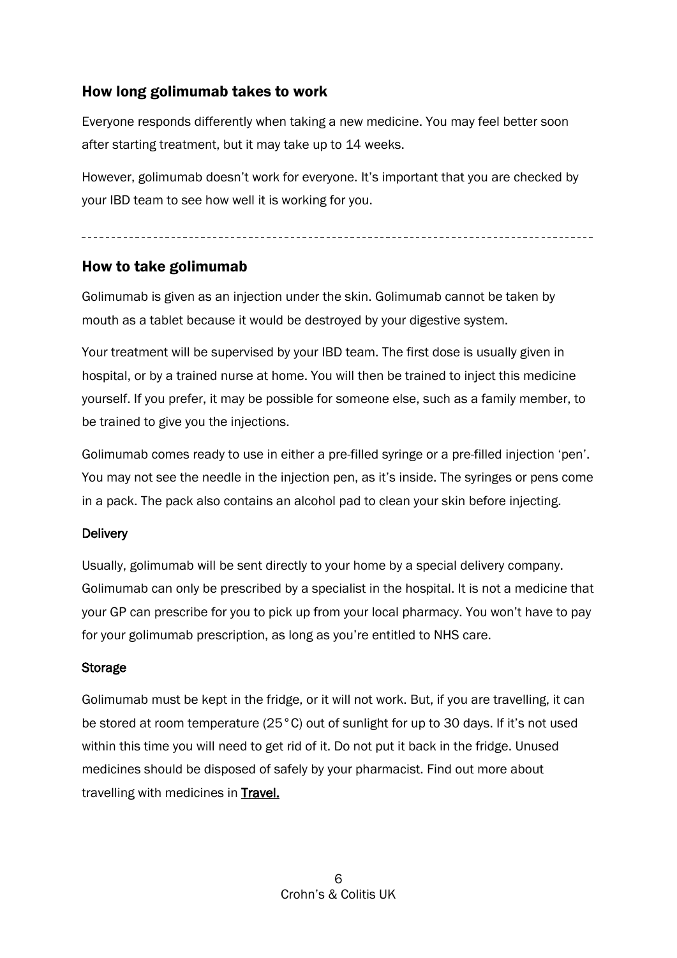# <span id="page-5-0"></span>How long golimumab takes to work

Everyone responds differently when taking a new medicine. You may feel better soon after starting treatment, but it may take up to 14 weeks.

However, golimumab doesn't work for everyone. It's important that you are checked by your IBD team to see how well it is working for you.

# <span id="page-5-1"></span>How to take golimumab

Golimumab is given as an injection under the skin. Golimumab cannot be taken by mouth as a tablet because it would be destroyed by your digestive system.

Your treatment will be supervised by your IBD team. The first dose is usually given in hospital, or by a trained nurse at home. You will then be trained to inject this medicine yourself. If you prefer, it may be possible for someone else, such as a family member, to be trained to give you the injections.

Golimumab comes ready to use in either a pre-filled syringe or a pre-filled injection 'pen'. You may not see the needle in the injection pen, as it's inside. The syringes or pens come in a pack. The pack also contains an alcohol pad to clean your skin before injecting.

# **Delivery**

Usually, golimumab will be sent directly to your home by a special delivery company. Golimumab can only be prescribed by a specialist in the hospital. It is not a medicine that your GP can prescribe for you to pick up from your local pharmacy. You won't have to pay for your golimumab prescription, as long as you're entitled to NHS care.

# Storage

Golimumab must be kept in the fridge, or it will not work. But, if you are travelling, it can be stored at room temperature (25°C) out of sunlight for up to 30 days. If it's not used within this time you will need to get rid of it. Do not put it back in the fridge. Unused medicines should be disposed of safely by your pharmacist. Find out more about travelling with medicines in [Travel.](https://www.crohnsandcolitis.org.uk/about-crohns-and-colitis/publications/travel-ibd)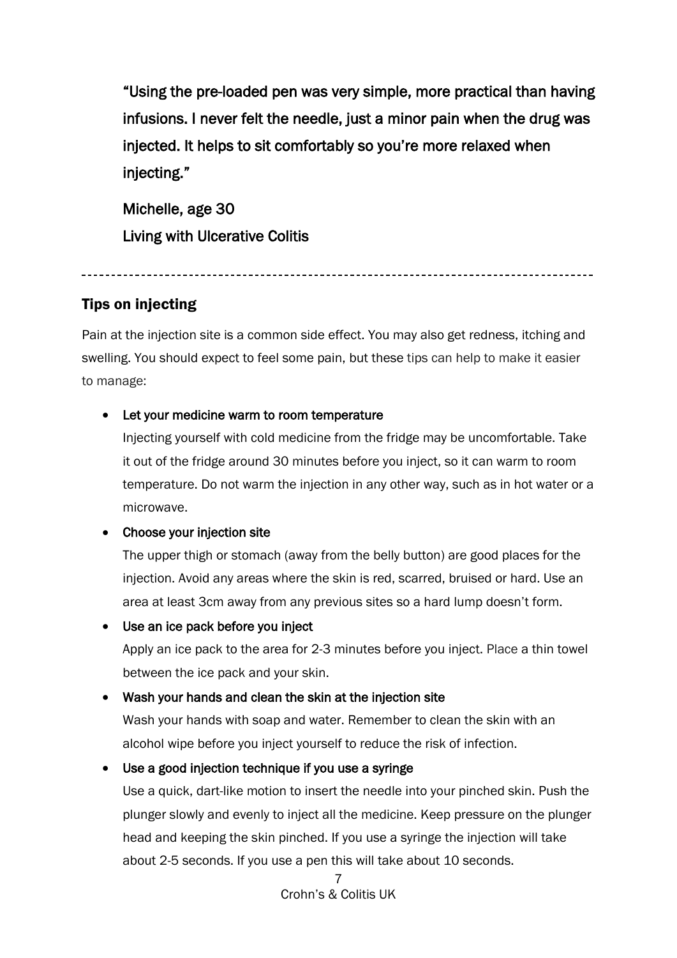"Using the pre-loaded pen was very simple, more practical than having infusions. I never felt the needle, just a minor pain when the drug was injected. It helps to sit comfortably so you're more relaxed when injecting."

Michelle, age 30 Living with Ulcerative Colitis

# <span id="page-6-0"></span>Tips on injecting

Pain at the injection site is a common side effect. You may also get redness, itching and swelling. You should expect to feel some pain, but these tips can help to make it easier to manage:

# • Let your medicine warm to room temperature

Injecting yourself with cold medicine from the fridge may be uncomfortable. Take it out of the fridge around 30 minutes before you inject, so it can warm to room temperature. Do not warm the injection in any other way, such as in hot water or a microwave.

# • Choose your injection site

The upper thigh or stomach (away from the belly button) are good places for the injection. Avoid any areas where the skin is red, scarred, bruised or hard. Use an area at least 3cm away from any previous sites so a hard lump doesn't form.

# • Use an ice pack before you inject

Apply an ice pack to the area for 2-3 minutes before you inject. Place a thin towel between the ice pack and your skin.

# • Wash your hands and clean the skin at the injection site

Wash your hands with soap and water. Remember to clean the skin with an alcohol wipe before you inject yourself to reduce the risk of infection.

# • Use a good injection technique if you use a syringe

Use a quick, dart-like motion to insert the needle into your pinched skin. Push the plunger slowly and evenly to inject all the medicine. Keep pressure on the plunger head and keeping the skin pinched. If you use a syringe the injection will take about 2-5 seconds. If you use a pen this will take about 10 seconds.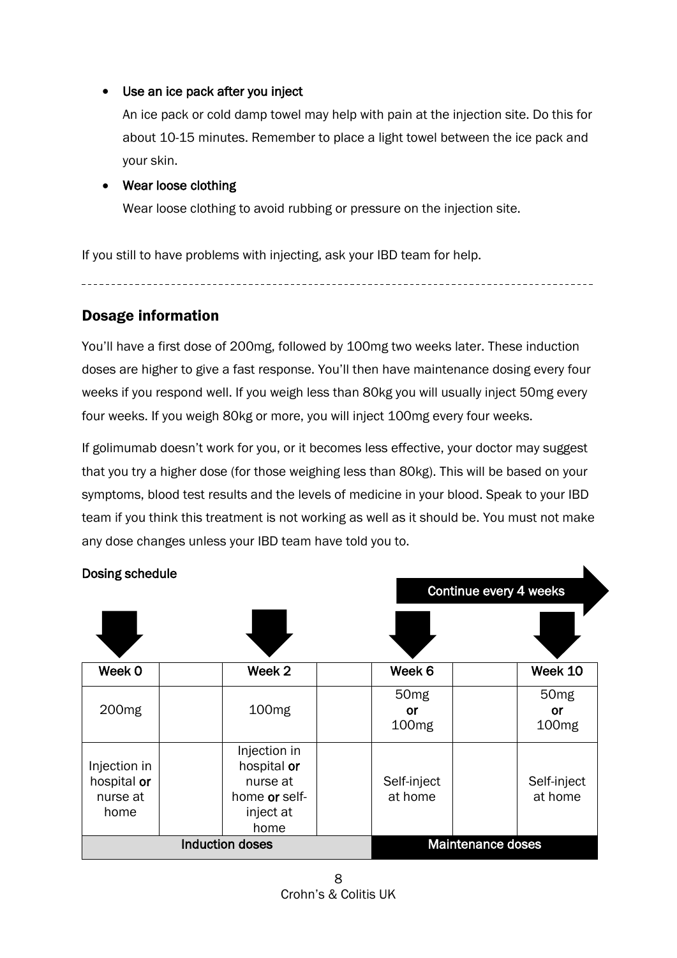# • Use an ice pack after you inject

An ice pack or cold damp towel may help with pain at the injection site. Do this for about 10-15 minutes. Remember to place a light towel between the ice pack and your skin.

# • Wear loose clothing

Wear loose clothing to avoid rubbing or pressure on the injection site.

If you still to have problems with injecting, ask your IBD team for help.

# <span id="page-7-0"></span>Dosage information

You'll have a first dose of 200mg, followed by 100mg two weeks later. These induction doses are higher to give a fast response. You'll then have maintenance dosing every four weeks if you respond well. If you weigh less than 80kg you will usually inject 50mg every four weeks. If you weigh 80kg or more, you will inject 100mg every four weeks.

If golimumab doesn't work for you, or it becomes less effective, your doctor may suggest that you try a higher dose (for those weighing less than 80kg). This will be based on your symptoms, blood test results and the levels of medicine in your blood. Speak to your IBD team if you think this treatment is not working as well as it should be. You must not make any dose changes unless your IBD team have told you to.

| Dosing schedule                                 | Continue every 4 weeks                                                        |                                                    |                                                    |
|-------------------------------------------------|-------------------------------------------------------------------------------|----------------------------------------------------|----------------------------------------------------|
|                                                 |                                                                               |                                                    |                                                    |
| Week 0                                          | Week 2                                                                        | Week 6                                             | Week 10                                            |
| 200 <sub>mg</sub>                               | 100 <sub>mg</sub>                                                             | 50 <sub>mg</sub><br><b>or</b><br>100 <sub>mg</sub> | 50 <sub>mg</sub><br><b>or</b><br>100 <sub>mg</sub> |
| Injection in<br>hospital or<br>nurse at<br>home | Injection in<br>hospital or<br>nurse at<br>home or self-<br>inject at<br>home | Self-inject<br>at home                             | Self-inject<br>at home                             |
| <b>Induction doses</b>                          |                                                                               | <b>Maintenance doses</b>                           |                                                    |

# Dosing schedule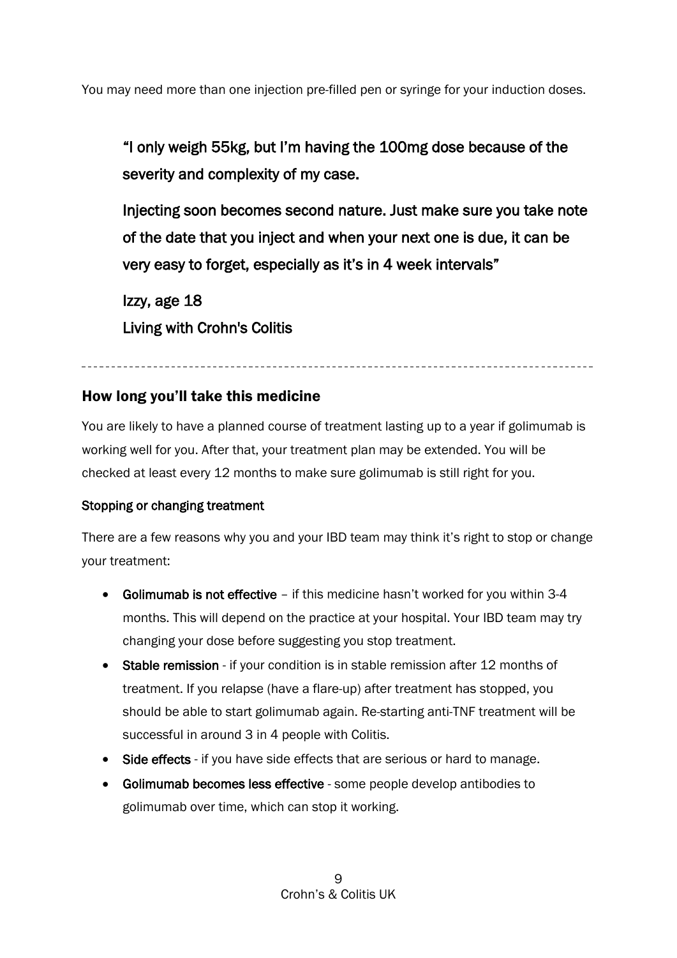You may need more than one injection pre-filled pen or syringe for your induction doses.

"I only weigh 55kg, but I'm having the 100mg dose because of the severity and complexity of my case.

Injecting soon becomes second nature. Just make sure you take note of the date that you inject and when your next one is due, it can be very easy to forget, especially as it's in 4 week intervals"

Izzy, age 18 Living with Crohn's Colitis

# <span id="page-8-0"></span>How long you'll take this medicine

You are likely to have a planned course of treatment lasting up to a year if golimumab is working well for you. After that, your treatment plan may be extended. You will be checked at least every 12 months to make sure golimumab is still right for you.

# Stopping or changing treatment

There are a few reasons why you and your IBD team may think it's right to stop or change your treatment:

- Golimumab is not effective if this medicine hasn't worked for you within 3-4 months. This will depend on the practice at your hospital. Your IBD team may try changing your dose before suggesting you stop treatment.
- Stable remission if your condition is in stable remission after 12 months of treatment. If you relapse (have a flare-up) after treatment has stopped, you should be able to start golimumab again. Re-starting anti-TNF treatment will be successful in around 3 in 4 people with Colitis.
- Side effects if you have side effects that are serious or hard to manage.
- Golimumab becomes less effective some people develop antibodies to golimumab over time, which can stop it working.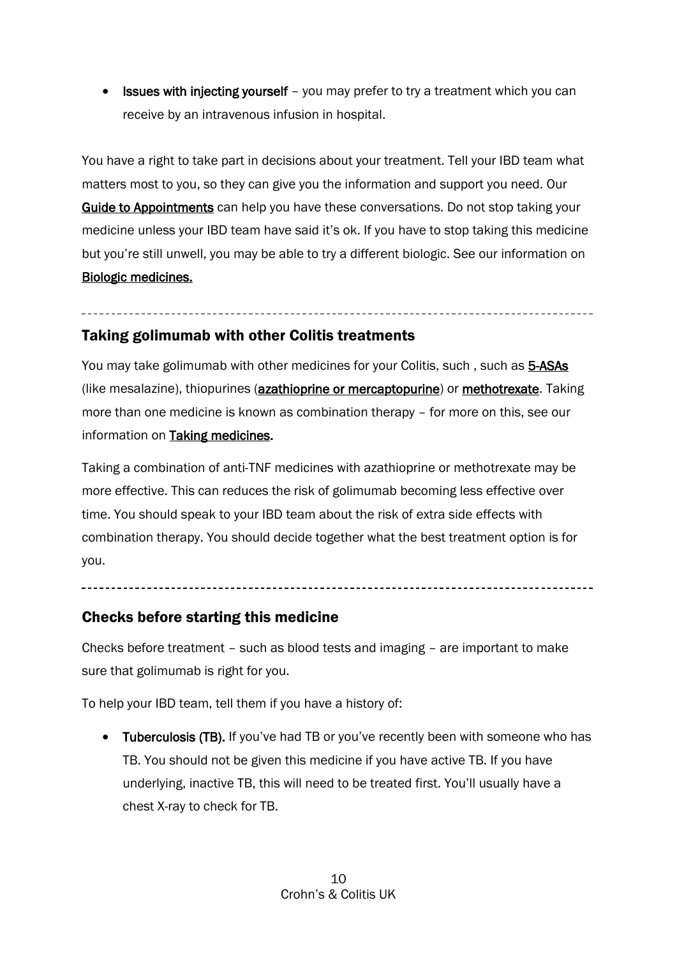• **Issues with injecting yourself** – you may prefer to try a treatment which you can receive by an intravenous infusion in hospital.

You have a right to take part in decisions about your treatment. Tell your IBD team what matters most to you, so they can give you the information and support you need. Our [Guide to Appointments](https://www.crohnsandcolitis.org.uk/support/your-guide-to-appointments) can help you have these conversations. Do not stop taking your medicine unless your IBD team have said it's ok. If you have to stop taking this medicine but you're still unwell, you may be able to try a different biologic. See our information on [Biologic medicines.](https://www.crohnsandcolitis.org.uk/about-crohns-and-colitis/publications/biologic-medicines)

# <span id="page-9-0"></span>Taking golimumab with other Colitis treatments

You may take golimumab with other medicines for your Colitis, such, such as [5-ASAs](https://www.crohnsandcolitis.org.uk/about-crohns-and-colitis/publications/aminosalicylates-5-asas) (like mesalazine), thiopurines (**azathioprine or mercaptopurine**) or **methotrexate**. Taking more than one medicine is known as combination therapy – for more on this, see our information on [Taking medicines.](https://www.crohnsandcolitis.org.uk/about-crohns-and-colitis/publications/taking-medicines)

Taking a combination of anti-TNF medicines with azathioprine or methotrexate may be more effective. This can reduces the risk of golimumab becoming less effective over time. You should speak to your IBD team about the risk of extra side effects with combination therapy. You should decide together what the best treatment option is for you.

# <span id="page-9-1"></span>Checks before starting this medicine

Checks before treatment – such as blood tests and imaging – are important to make sure that golimumab is right for you.

To help your IBD team, tell them if you have a history of:

• Tuberculosis (TB). If you've had TB or you've recently been with someone who has TB. You should not be given this medicine if you have active TB. If you have underlying, inactive TB, this will need to be treated first. You'll usually have a chest X-ray to check for TB.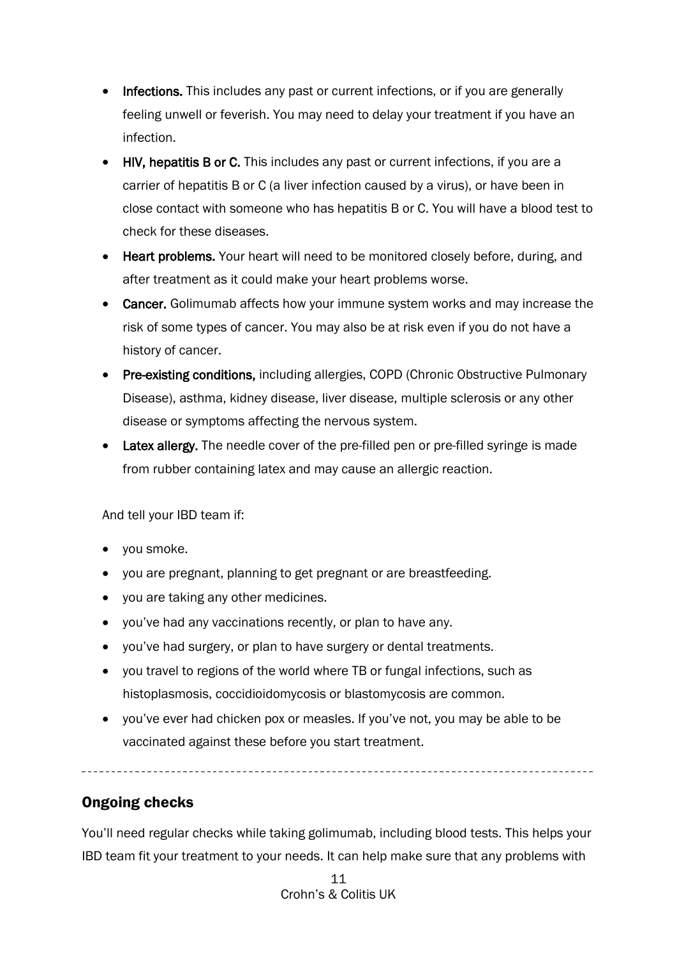- Infections. This includes any past or current infections, or if you are generally feeling unwell or feverish. You may need to delay your treatment if you have an infection.
- HIV, hepatitis B or C. This includes any past or current infections, if you are a carrier of hepatitis B or C (a liver infection caused by a virus), or have been in close contact with someone who has hepatitis B or C. You will have a blood test to check for these diseases.
- Heart problems. Your heart will need to be monitored closely before, during, and after treatment as it could make your heart problems worse.
- Cancer. Golimumab affects how your immune system works and may increase the risk of some types of cancer. You may also be at risk even if you do not have a history of cancer.
- Pre-existing conditions, including allergies, COPD (Chronic Obstructive Pulmonary Disease), asthma, kidney disease, liver disease, multiple sclerosis or any other disease or symptoms affecting the nervous system.
- Latex allergy. The needle cover of the pre-filled pen or pre-filled syringe is made from rubber containing latex and may cause an allergic reaction.

And tell your IBD team if:

- you smoke.
- you are pregnant, planning to get pregnant or are breastfeeding.
- you are taking any other medicines.
- you've had any vaccinations recently, or plan to have any.
- you've had surgery, or plan to have surgery or dental treatments.
- you travel to regions of the world where TB or fungal infections, such as histoplasmosis, coccidioidomycosis or blastomycosis are common.
- you've ever had chicken pox or measles. If you've not, you may be able to be vaccinated against these before you start treatment.

<span id="page-10-0"></span>Ongoing checks

You'll need regular checks while taking golimumab, including blood tests. This helps your IBD team fit your treatment to your needs. It can help make sure that any problems with

> 11 Crohn's & Colitis UK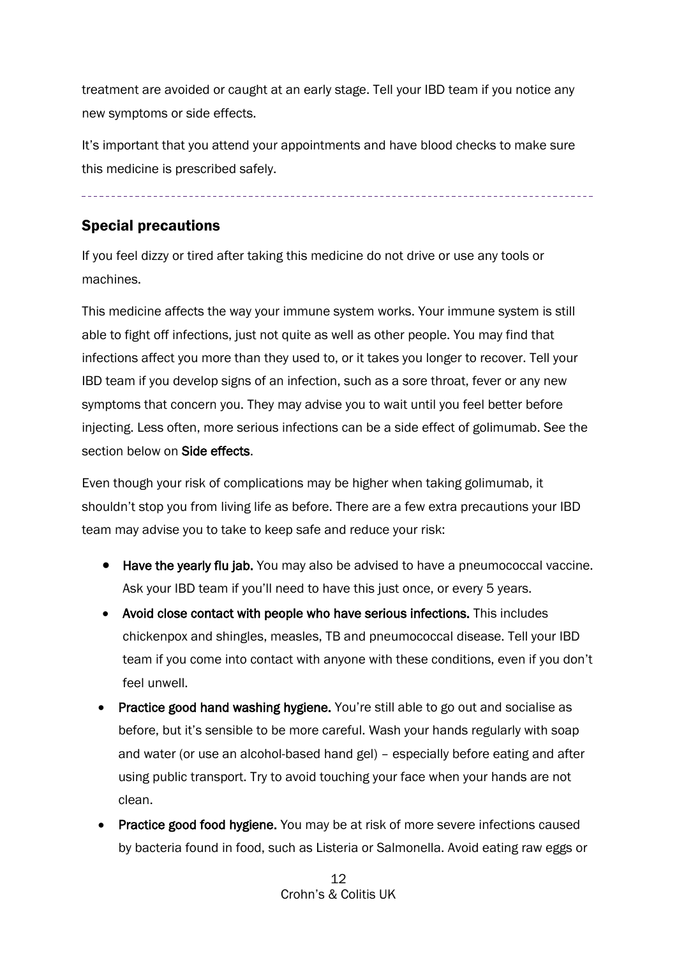treatment are avoided or caught at an early stage. Tell your IBD team if you notice any new symptoms or side effects.

It's important that you attend your appointments and have blood checks to make sure this medicine is prescribed safely.

# <span id="page-11-0"></span>Special precautions

If you feel dizzy or tired after taking this medicine do not drive or use any tools or machines.

This medicine affects the way your immune system works. Your immune system is still able to fight off infections, just not quite as well as other people. You may find that infections affect you more than they used to, or it takes you longer to recover. Tell your IBD team if you develop signs of an infection, such as a sore throat, fever or any new symptoms that concern you. They may advise you to wait until you feel better before injecting. Less often, more serious infections can be a side effect of golimumab. See the section below on **Side effects**.

Even though your risk of complications may be higher when taking golimumab, it shouldn't stop you from living life as before. There are a few extra precautions your IBD team may advise you to take to keep safe and reduce your risk:

- Have the yearly flu jab. You may also be advised to have a pneumococcal vaccine. Ask your IBD team if you'll need to have this just once, or every 5 years.
- Avoid close contact with people who have serious infections. This includes chickenpox and shingles, measles, TB and pneumococcal disease. Tell your IBD team if you come into contact with anyone with these conditions, even if you don't feel unwell.
- Practice good hand washing hygiene. You're still able to go out and socialise as before, but it's sensible to be more careful. Wash your hands regularly with soap and water (or use an alcohol-based hand gel) – especially before eating and after using public transport. Try to avoid touching your face when your hands are not clean.
- Practice good food hygiene. You may be at risk of more severe infections caused by bacteria found in food, such as Listeria or Salmonella. Avoid eating raw eggs or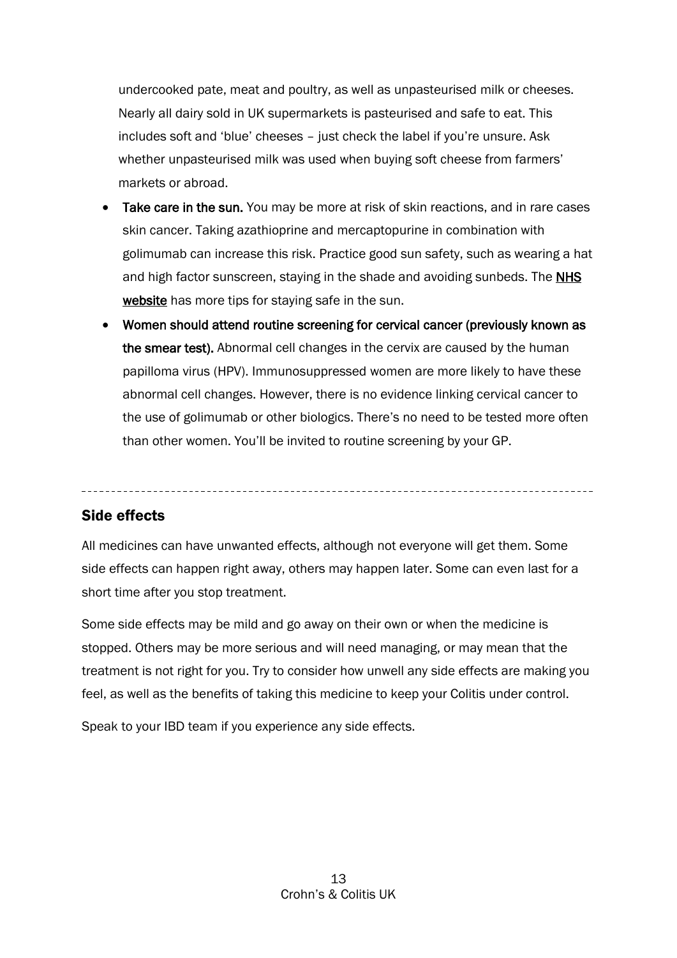undercooked pate, meat and poultry, as well as unpasteurised milk or cheeses. Nearly all dairy sold in UK supermarkets is pasteurised and safe to eat. This includes soft and 'blue' cheeses – just check the label if you're unsure. Ask whether unpasteurised milk was used when buying soft cheese from farmers' markets or abroad.

- Take care in the sun. You may be more at risk of skin reactions, and in rare cases skin cancer. Taking azathioprine and mercaptopurine in combination with golimumab can increase this risk. Practice good sun safety, such as wearing a hat and high factor sunscreen, staying in the shade and avoiding sunbeds. The **NHS** [website](https://www.nhs.uk/live-well/healthy-body/sunscreen-and-sun-safety/) has more tips for staying safe in the sun.
- Women should attend routine screening for cervical cancer (previously known as the smear test). Abnormal cell changes in the cervix are caused by the human papilloma virus (HPV). Immunosuppressed women are more likely to have these abnormal cell changes. However, there is no evidence linking cervical cancer to the use of golimumab or other biologics. There's no need to be tested more often than other women. You'll be invited to routine screening by your GP.

# <span id="page-12-0"></span>Side effects

All medicines can have unwanted effects, although not everyone will get them. Some side effects can happen right away, others may happen later. Some can even last for a short time after you stop treatment.

Some side effects may be mild and go away on their own or when the medicine is stopped. Others may be more serious and will need managing, or may mean that the treatment is not right for you. Try to consider how unwell any side effects are making you feel, as well as the benefits of taking this medicine to keep your Colitis under control.

Speak to your IBD team if you experience any side effects.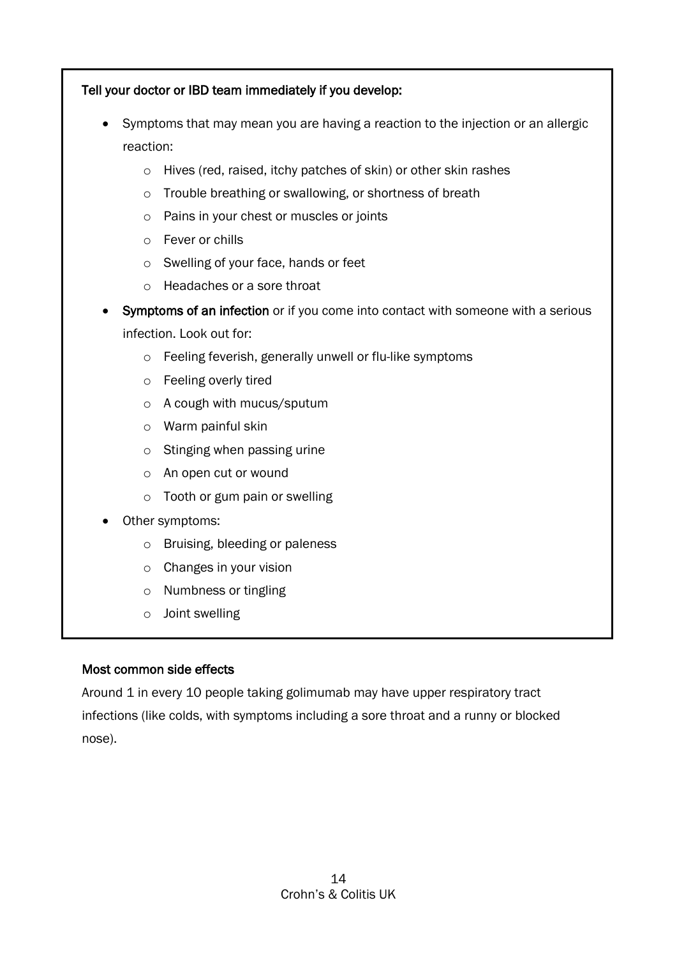# Tell your doctor or IBD team immediately if you develop:

- Symptoms that may mean you are having a reaction to the injection or an allergic reaction:
	- o Hives (red, raised, itchy patches of skin) or other skin rashes
	- o Trouble breathing or swallowing, or shortness of breath
	- o Pains in your chest or muscles or joints
	- o Fever or chills
	- o Swelling of your face, hands or feet
	- o Headaches or a sore throat
- Symptoms of an infection or if you come into contact with someone with a serious infection. Look out for:
	- o Feeling feverish, generally unwell or flu-like symptoms
	- o Feeling overly tired
	- o A cough with mucus/sputum
	- o Warm painful skin
	- o Stinging when passing urine
	- o An open cut or wound
	- o Tooth or gum pain or swelling
- Other symptoms:
	- o Bruising, bleeding or paleness
	- o Changes in your vision
	- o Numbness or tingling
	- o Joint swelling

# Most common side effects

Around 1 in every 10 people taking golimumab may have upper respiratory tract infections (like colds, with symptoms including a sore throat and a runny or blocked nose).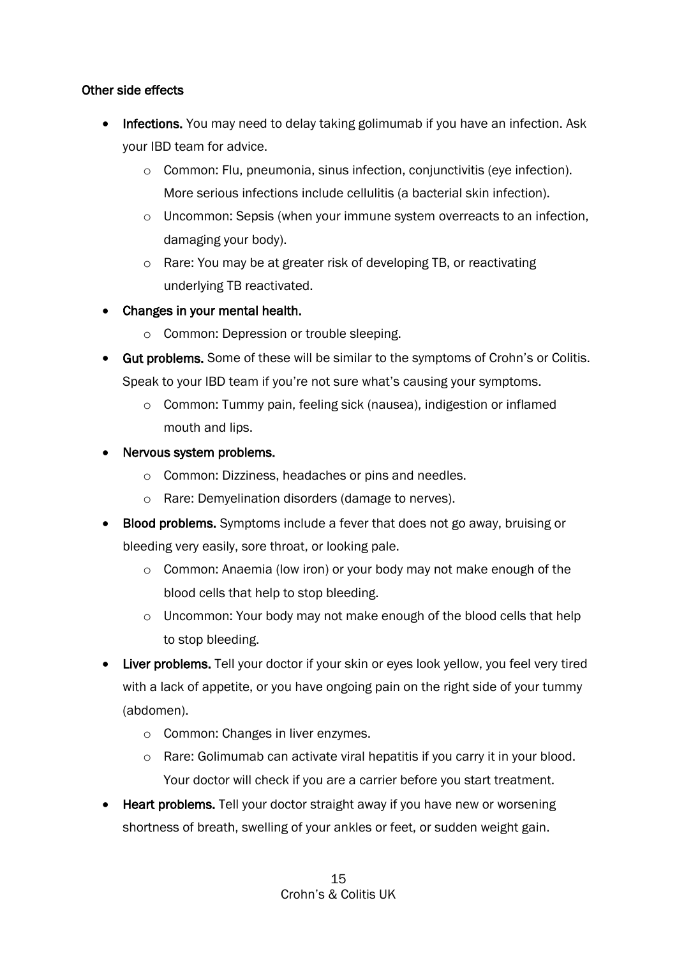# Other side effects

- Infections. You may need to delay taking golimumab if you have an infection. Ask your IBD team for advice.
	- o Common: Flu, pneumonia, sinus infection, conjunctivitis (eye infection). More serious infections include cellulitis (a bacterial skin infection).
	- o Uncommon: Sepsis (when your immune system overreacts to an infection, damaging your body).
	- o Rare: You may be at greater risk of developing TB, or reactivating underlying TB reactivated.
- Changes in your mental health.
	- o Common: Depression or trouble sleeping.
- Gut problems. Some of these will be similar to the symptoms of Crohn's or Colitis. Speak to your IBD team if you're not sure what's causing your symptoms.
	- o Common: Tummy pain, feeling sick (nausea), indigestion or inflamed mouth and lips.
- Nervous system problems.
	- o Common: Dizziness, headaches or pins and needles.
	- o Rare: Demyelination disorders (damage to nerves).
- Blood problems. Symptoms include a fever that does not go away, bruising or bleeding very easily, sore throat, or looking pale.
	- o Common: Anaemia (low iron) or your body may not make enough of the blood cells that help to stop bleeding.
	- o Uncommon: Your body may not make enough of the blood cells that help to stop bleeding.
- Liver problems. Tell your doctor if your skin or eyes look yellow, you feel very tired with a lack of appetite, or you have ongoing pain on the right side of your tummy (abdomen).
	- o Common: Changes in liver enzymes.
	- o Rare: Golimumab can activate viral hepatitis if you carry it in your blood. Your doctor will check if you are a carrier before you start treatment.
- Heart problems. Tell your doctor straight away if you have new or worsening shortness of breath, swelling of your ankles or feet, or sudden weight gain.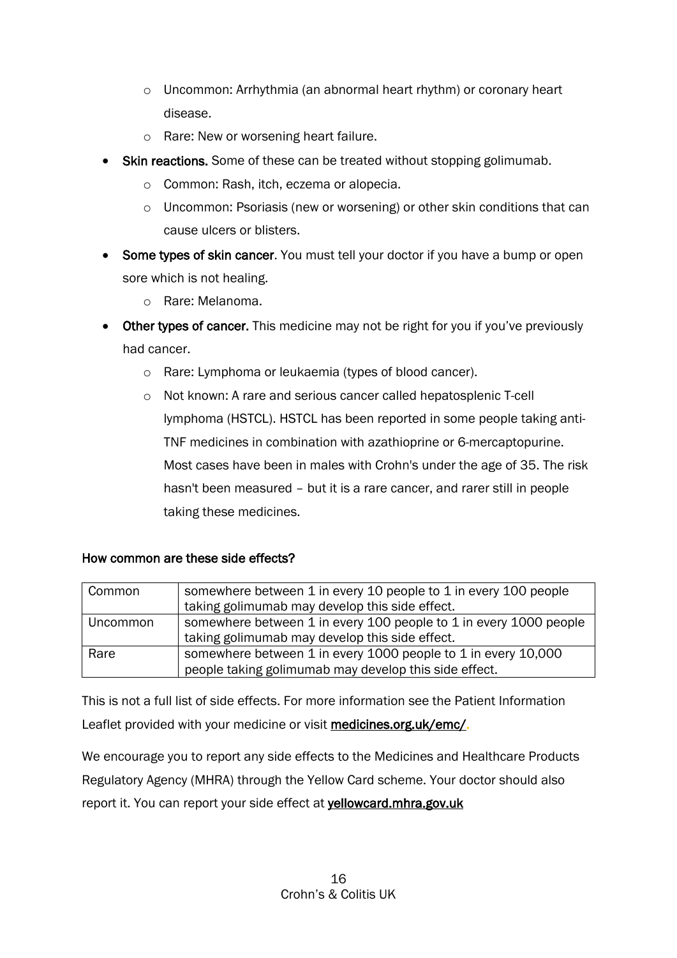- o Uncommon: Arrhythmia (an abnormal heart rhythm) or coronary heart disease.
- o Rare: New or worsening heart failure.
- Skin reactions. Some of these can be treated without stopping golimumab.
	- o Common: Rash, itch, eczema or alopecia.
	- o Uncommon: Psoriasis (new or worsening) or other skin conditions that can cause ulcers or blisters.
- Some types of skin cancer. You must tell your doctor if you have a bump or open sore which is not healing.
	- o Rare: Melanoma.
- Other types of cancer. This medicine may not be right for you if you've previously had cancer.
	- o Rare: Lymphoma or leukaemia (types of blood cancer).
	- o Not known: A rare and serious cancer called hepatosplenic T-cell lymphoma (HSTCL). HSTCL has been reported in some people taking anti-TNF medicines in combination with azathioprine or 6-mercaptopurine. Most cases have been in males with Crohn's under the age of 35. The risk hasn't been measured – but it is a rare cancer, and rarer still in people taking these medicines.

# How common are these side effects?

| Common   | somewhere between 1 in every 10 people to 1 in every 100 people   |  |
|----------|-------------------------------------------------------------------|--|
|          | taking golimumab may develop this side effect.                    |  |
| Uncommon | somewhere between 1 in every 100 people to 1 in every 1000 people |  |
|          | taking golimumab may develop this side effect.                    |  |
| Rare     | somewhere between 1 in every 1000 people to 1 in every 10,000     |  |
|          | people taking golimumab may develop this side effect.             |  |

This is not a full list of side effects. For more information see the Patient Information Leaflet provided with your medicine or visit [medicines.org.uk/emc/.](http://www.medicines.org.uk/emc/)

We encourage you to report any side effects to the Medicines and Healthcare Products Regulatory Agency (MHRA) through the Yellow Card scheme. Your doctor should also report it. You can report your side effect at yellowcard.mhra.gov.uk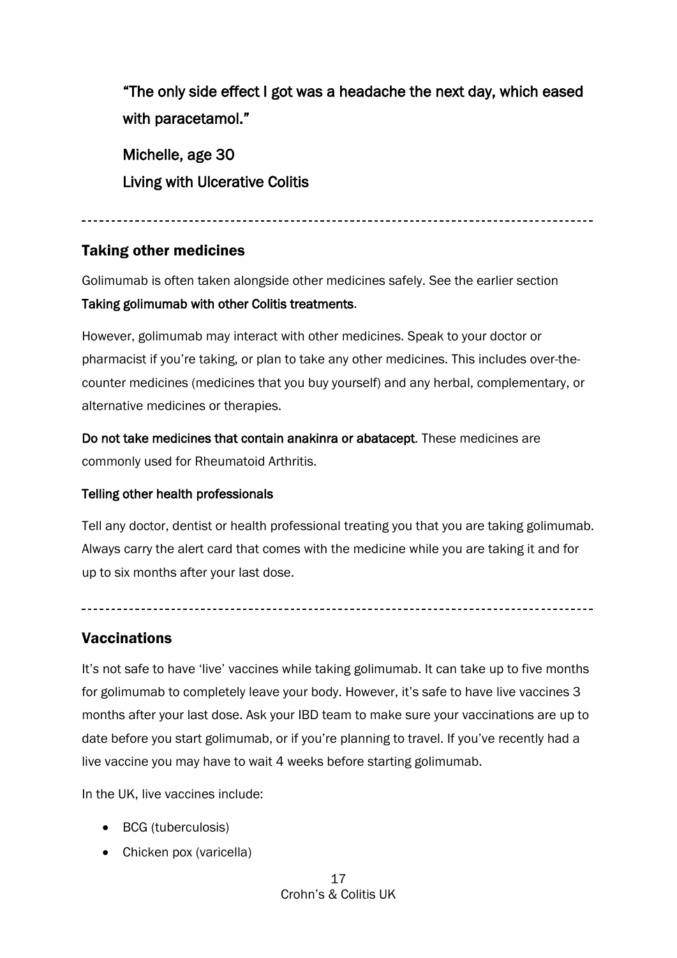"The only side effect I got was a headache the next day, which eased with paracetamol."

Michelle, age 30 Living with Ulcerative Colitis

#### 

# <span id="page-16-0"></span>Taking other medicines

Golimumab is often taken alongside other medicines safely. See the earlier section Taking golimumab with other Colitis treatments.

However, golimumab may interact with other medicines. Speak to your doctor or pharmacist if you're taking, or plan to take any other medicines. This includes over-thecounter medicines (medicines that you buy yourself) and any herbal, complementary, or alternative medicines or therapies.

Do not take medicines that contain anakinra or abatacept. These medicines are commonly used for Rheumatoid Arthritis.

# Telling other health professionals

Tell any doctor, dentist or health professional treating you that you are taking golimumab. Always carry the alert card that comes with the medicine while you are taking it and for up to six months after your last dose.

# <span id="page-16-1"></span>**Vaccinations**

It'*s* not safe to have 'live' vaccines while taking golimumab. It can take up to five months for golimumab to completely leave your body. However, it's safe to have live vaccines 3 months after your last dose. Ask your IBD team to make sure your vaccinations are up to date before you start golimumab, or if you're planning to travel. If you've recently had a live vaccine you may have to wait 4 weeks before starting golimumab.

In the UK, live vaccines include:

- BCG (tuberculosis)
- Chicken pox (varicella)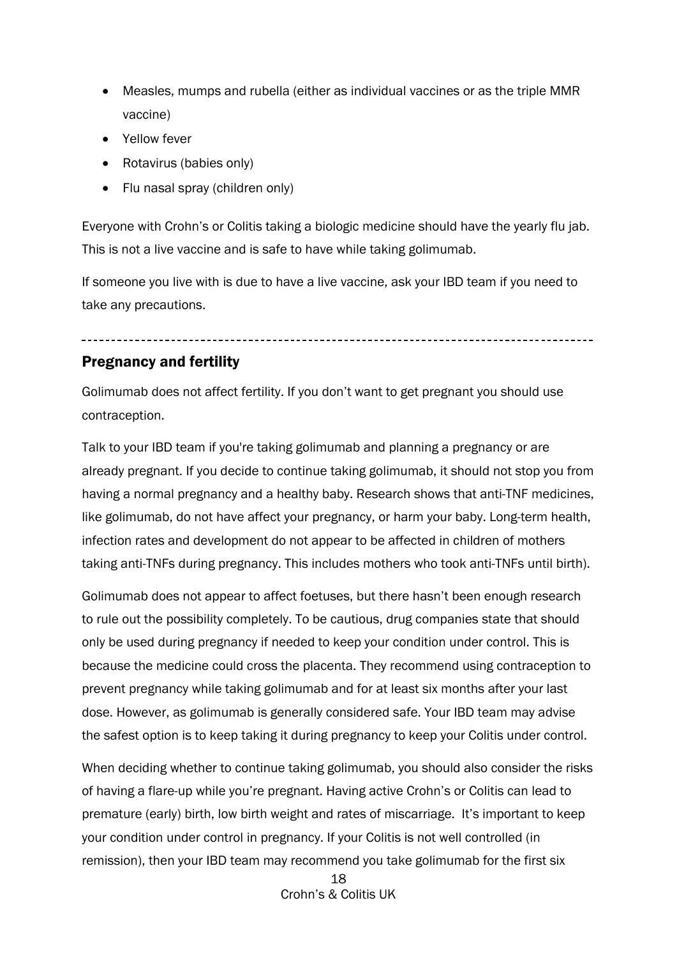- Measles, mumps and rubella (either as individual vaccines or as the triple MMR vaccine)
- Yellow fever
- Rotavirus (babies only)
- Flu nasal spray (children only)

Everyone with Crohn's or Colitis taking a biologic medicine should have the yearly flu jab. This is not a live vaccine and is safe to have while taking golimumab.

If someone you live with is due to have a live vaccine, ask your IBD team if you need to take any precautions.

# <span id="page-17-0"></span>Pregnancy and fertility

Golimumab does not affect fertility. If you don't want to get pregnant you should use contraception.

Talk to your IBD team if you're taking golimumab and planning a pregnancy or are already pregnant. If you decide to continue taking golimumab, it should not stop you from having a normal pregnancy and a healthy baby. Research shows that anti-TNF medicines, like golimumab, do not have affect your pregnancy, or harm your baby. Long-term health, infection rates and development do not appear to be affected in children of mothers taking anti-TNFs during pregnancy. This includes mothers who took anti-TNFs until birth).

Golimumab does not appear to affect foetuses, but there hasn't been enough research to rule out the possibility completely. To be cautious, drug companies state that should only be used during pregnancy if needed to keep your condition under control. This is because the medicine could cross the placenta. They recommend using contraception to prevent pregnancy while taking golimumab and for at least six months after your last dose. However, as golimumab is generally considered safe. Your IBD team may advise the safest option is to keep taking it during pregnancy to keep your Colitis under control.

When deciding whether to continue taking golimumab, you should also consider the risks of having a flare-up while you're pregnant. Having active Crohn's or Colitis can lead to premature (early) birth, low birth weight and rates of miscarriage. It's important to keep your condition under control in pregnancy. If your Colitis is not well controlled (in remission), then your IBD team may recommend you take golimumab for the first six

> 18 Crohn's & Colitis UK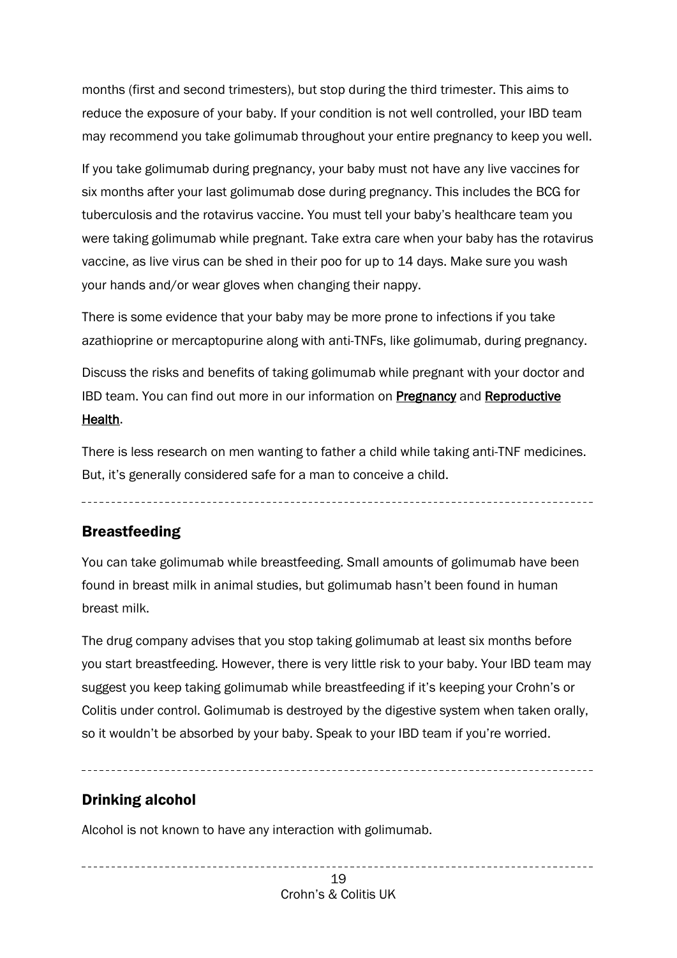months (first and second trimesters), but stop during the third trimester. This aims to reduce the exposure of your baby. If your condition is not well controlled, your IBD team may recommend you take golimumab throughout your entire pregnancy to keep you well.

If you take golimumab during pregnancy, your baby must not have any live vaccines for six months after your last golimumab dose during pregnancy. This includes the BCG for tuberculosis and the rotavirus vaccine. You must tell your baby's healthcare team you were taking golimumab while pregnant. Take extra care when your baby has the rotavirus vaccine, as live virus can be shed in their poo for up to 14 days. Make sure you wash your hands and/or wear gloves when changing their nappy.

There is some evidence that your baby may be more prone to infections if you take azathioprine or mercaptopurine along with anti-TNFs, like golimumab, during pregnancy.

Discuss the risks and benefits of taking golimumab while pregnant with your doctor and **IBD team. You can find out more in our information on [Pregnancy](https://www.crohnsandcolitis.org.uk/about-crohns-and-colitis/publications/pregnancy-ibd) and Reproductive** [Health.](https://www.crohnsandcolitis.org.uk/about-crohns-and-colitis/publications/reproductive-health-and-ibd) 

There is less research on men wanting to father a child while taking anti-TNF medicines. But, it's generally considered safe for a man to conceive a child.

# <span id="page-18-0"></span>**Breastfeeding**

You can take golimumab while breastfeeding. Small amounts of golimumab have been found in breast milk in animal studies, but golimumab hasn't been found in human breast milk.

The drug company advises that you stop taking golimumab at least six months before you start breastfeeding. However, there is very little risk to your baby. Your IBD team may suggest you keep taking golimumab while breastfeeding if it's keeping your Crohn's or Colitis under control. Golimumab is destroyed by the digestive system when taken orally, so it wouldn't be absorbed by your baby. Speak to your IBD team if you're worried.

# <span id="page-18-1"></span>Drinking alcohol

Alcohol is not known to have any interaction with golimumab.

19 Crohn's & Colitis UK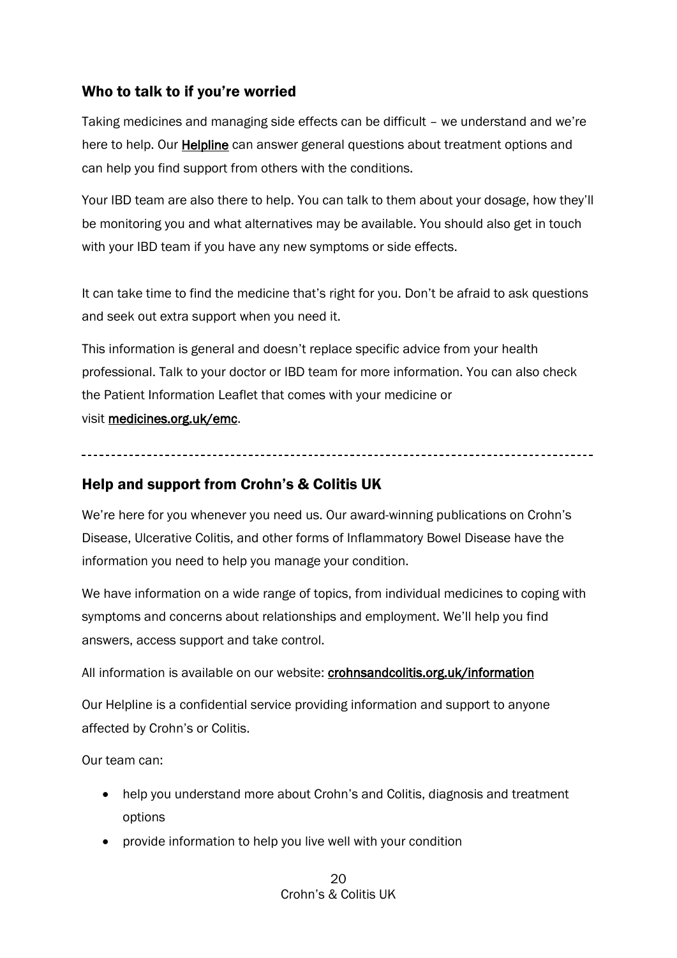# <span id="page-19-0"></span>Who to talk to if you're worried

Taking medicines and managing side effects can be difficult – we understand and we're here to help. Our [Helpline](https://www.crohnsandcolitis.org.uk/support/helpline) can answer general questions about treatment options and can help you find support from others with the conditions.

Your IBD team are also there to help. You can talk to them about your dosage, how they'll be monitoring you and what alternatives may be available. You should also get in touch with your IBD team if you have any new symptoms or side effects.

It can take time to find the medicine that's right for you. Don't be afraid to ask questions and seek out extra support when you need it.

This information is general and doesn't replace specific advice from your health professional. Talk to your doctor or IBD team for more information. You can also check the Patient Information Leaflet that comes with your medicine or visit [medicines.org.uk/emc.](http://www.medicines.org.uk/emc)

# <span id="page-19-1"></span>Help and support from Crohn's & Colitis UK

We're here for you whenever you need us. Our award-winning publications on Crohn's Disease, Ulcerative Colitis, and other forms of Inflammatory Bowel Disease have the information you need to help you manage your condition.

We have information on a wide range of topics, from individual medicines to coping with symptoms and concerns about relationships and employment. We'll help you find answers, access support and take control.

All information is available on our website: [crohnsandcolitis.org.uk/information](http://www.crohnsandcolitis.org.uk/publications) 

Our Helpline is a confidential service providing information and support to anyone affected by Crohn's or Colitis.

Our team can:

- help you understand more about Crohn's and Colitis, diagnosis and treatment options
- provide information to help you live well with your condition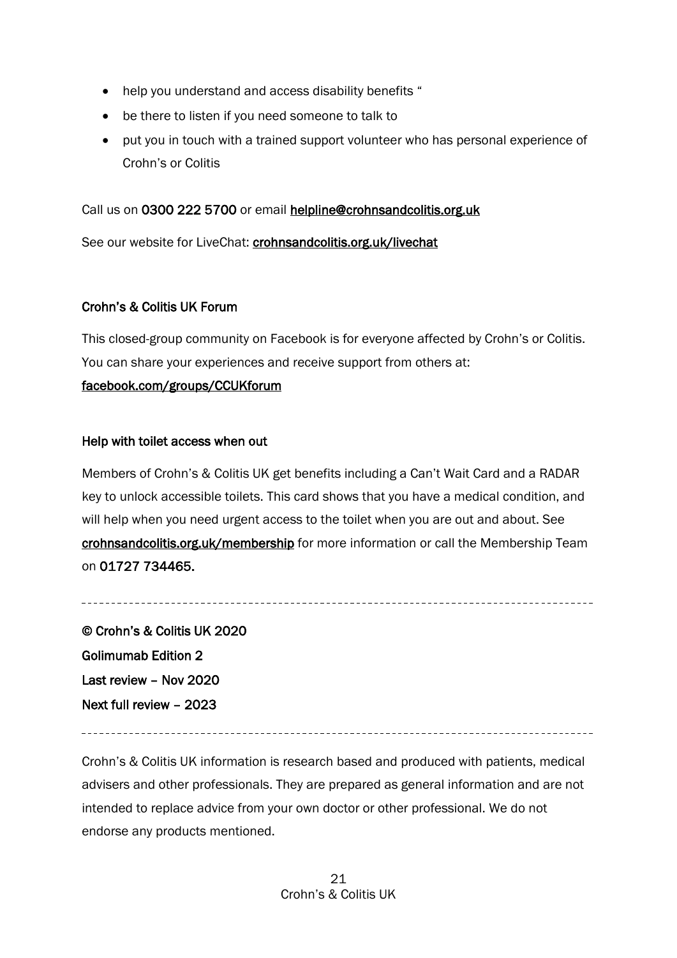- help you understand and access disability benefits "
- be there to listen if you need someone to talk to
- put you in touch with a trained support volunteer who has personal experience of Crohn's or Colitis

Call us on 0300 222 5700 or email [helpline@crohnsandcolitis.org.uk](mailto:helpline@crohnsandcolitis.org.uk) 

See our website for LiveChat: [crohnsandcolitis.org.uk/livechat](http://www.crohnsandcolitis.org.uk/livechat) 

#### Crohn's & Colitis UK Forum

This closed-group community on Facebook is for everyone affected by Crohn's or Colitis. You can share your experiences and receive support from others at:

#### [facebook.com/groups/CCUKforum](http://www.facebook.com/groups/CCUKforum)

#### Help with toilet access when out

Members of Crohn's & Colitis UK get benefits including a Can't Wait Card and a RADAR key to unlock accessible toilets. This card shows that you have a medical condition, and will help when you need urgent access to the toilet when you are out and about. See [crohnsandcolitis.org.uk/membership](http://www.crohnsandcolitis.org.uk/membership) for more information or call the Membership Team on 01727 734465.

© Crohn's & Colitis UK 2020 Golimumab Edition 2 Last review – Nov 2020 Next full review – 2023

Crohn's & Colitis UK information is research based and produced with patients, medical advisers and other professionals. They are prepared as general information and are not intended to replace advice from your own doctor or other professional. We do not endorse any products mentioned.